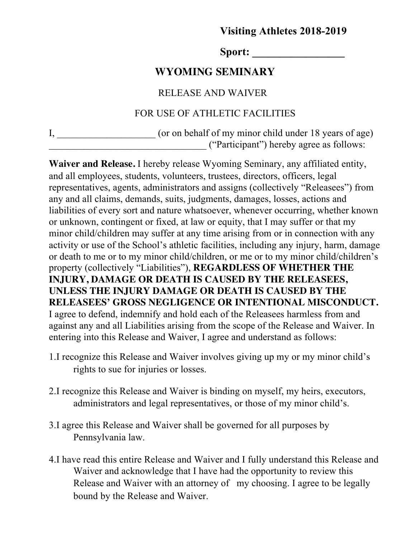# **Visiting Athletes 2018-2019**

Sport:

# **WYOMING SEMINARY**

#### RELEASE AND WAIVER

### FOR USE OF ATHLETIC FACILITIES

| τ. | (or on behalf of my minor child under 18 years of age) |
|----|--------------------------------------------------------|
|    | ("Participant") hereby agree as follows:               |

**Waiver and Release.** I hereby release Wyoming Seminary, any affiliated entity, and all employees, students, volunteers, trustees, directors, officers, legal representatives, agents, administrators and assigns (collectively "Releasees") from any and all claims, demands, suits, judgments, damages, losses, actions and liabilities of every sort and nature whatsoever, whenever occurring, whether known or unknown, contingent or fixed, at law or equity, that I may suffer or that my minor child/children may suffer at any time arising from or in connection with any activity or use of the School's athletic facilities, including any injury, harm, damage or death to me or to my minor child/children, or me or to my minor child/children's property (collectively "Liabilities"), **REGARDLESS OF WHETHER THE INJURY, DAMAGE OR DEATH IS CAUSED BY THE RELEASEES, UNLESS THE INJURY DAMAGE OR DEATH IS CAUSED BY THE RELEASEES' GROSS NEGLIGENCE OR INTENTIONAL MISCONDUCT.**  I agree to defend, indemnify and hold each of the Releasees harmless from and against any and all Liabilities arising from the scope of the Release and Waiver. In entering into this Release and Waiver, I agree and understand as follows:

- 1.I recognize this Release and Waiver involves giving up my or my minor child's rights to sue for injuries or losses.
- 2.I recognize this Release and Waiver is binding on myself, my heirs, executors, administrators and legal representatives, or those of my minor child's.
- 3.I agree this Release and Waiver shall be governed for all purposes by Pennsylvania law.
- 4.I have read this entire Release and Waiver and I fully understand this Release and Waiver and acknowledge that I have had the opportunity to review this Release and Waiver with an attorney of my choosing. I agree to be legally bound by the Release and Waiver.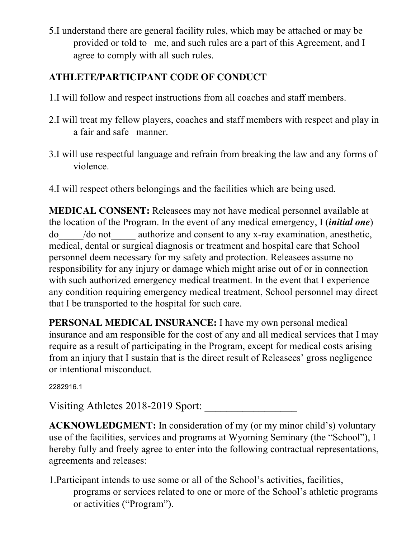5.I understand there are general facility rules, which may be attached or may be provided or told to me, and such rules are a part of this Agreement, and I agree to comply with all such rules.

# **ATHLETE/PARTICIPANT CODE OF CONDUCT**

- 1.I will follow and respect instructions from all coaches and staff members.
- 2.I will treat my fellow players, coaches and staff members with respect and play in a fair and safe manner.
- 3.I will use respectful language and refrain from breaking the law and any forms of violence.
- 4.I will respect others belongings and the facilities which are being used.

**MEDICAL CONSENT:** Releasees may not have medical personnel available at the location of the Program. In the event of any medical emergency, I (*initial one*) do\_\_\_\_\_/do not\_\_\_\_\_ authorize and consent to any x-ray examination, anesthetic, medical, dental or surgical diagnosis or treatment and hospital care that School personnel deem necessary for my safety and protection. Releasees assume no responsibility for any injury or damage which might arise out of or in connection with such authorized emergency medical treatment. In the event that I experience any condition requiring emergency medical treatment, School personnel may direct that I be transported to the hospital for such care.

**PERSONAL MEDICAL INSURANCE:** I have my own personal medical insurance and am responsible for the cost of any and all medical services that I may require as a result of participating in the Program, except for medical costs arising from an injury that I sustain that is the direct result of Releasees' gross negligence or intentional misconduct.

2282916.1

Visiting Athletes 2018-2019 Sport:

**ACKNOWLEDGMENT:** In consideration of my (or my minor child's) voluntary use of the facilities, services and programs at Wyoming Seminary (the "School"), I hereby fully and freely agree to enter into the following contractual representations, agreements and releases:

1.Participant intends to use some or all of the School's activities, facilities, programs or services related to one or more of the School's athletic programs or activities ("Program").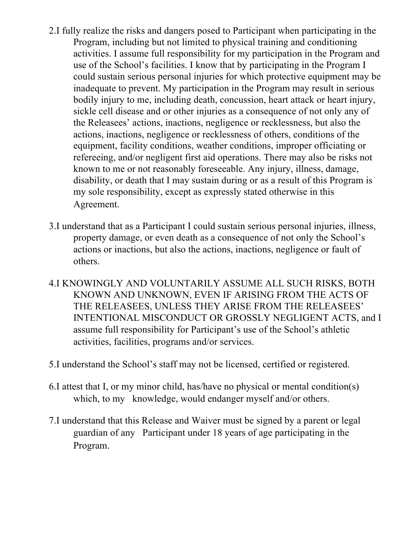- 2.I fully realize the risks and dangers posed to Participant when participating in the Program, including but not limited to physical training and conditioning activities. I assume full responsibility for my participation in the Program and use of the School's facilities. I know that by participating in the Program I could sustain serious personal injuries for which protective equipment may be inadequate to prevent. My participation in the Program may result in serious bodily injury to me, including death, concussion, heart attack or heart injury, sickle cell disease and or other injuries as a consequence of not only any of the Releasees' actions, inactions, negligence or recklessness, but also the actions, inactions, negligence or recklessness of others, conditions of the equipment, facility conditions, weather conditions, improper officiating or refereeing, and/or negligent first aid operations. There may also be risks not known to me or not reasonably foreseeable. Any injury, illness, damage, disability, or death that I may sustain during or as a result of this Program is my sole responsibility, except as expressly stated otherwise in this Agreement.
- 3.I understand that as a Participant I could sustain serious personal injuries, illness, property damage, or even death as a consequence of not only the School's actions or inactions, but also the actions, inactions, negligence or fault of others.
- 4.I KNOWINGLY AND VOLUNTARILY ASSUME ALL SUCH RISKS, BOTH KNOWN AND UNKNOWN, EVEN IF ARISING FROM THE ACTS OF THE RELEASEES, UNLESS THEY ARISE FROM THE RELEASEES' INTENTIONAL MISCONDUCT OR GROSSLY NEGLIGENT ACTS, and I assume full responsibility for Participant's use of the School's athletic activities, facilities, programs and/or services.
- 5.I understand the School's staff may not be licensed, certified or registered.
- 6.I attest that I, or my minor child, has/have no physical or mental condition(s) which, to my knowledge, would endanger myself and/or others.
- 7.I understand that this Release and Waiver must be signed by a parent or legal guardian of any Participant under 18 years of age participating in the Program.